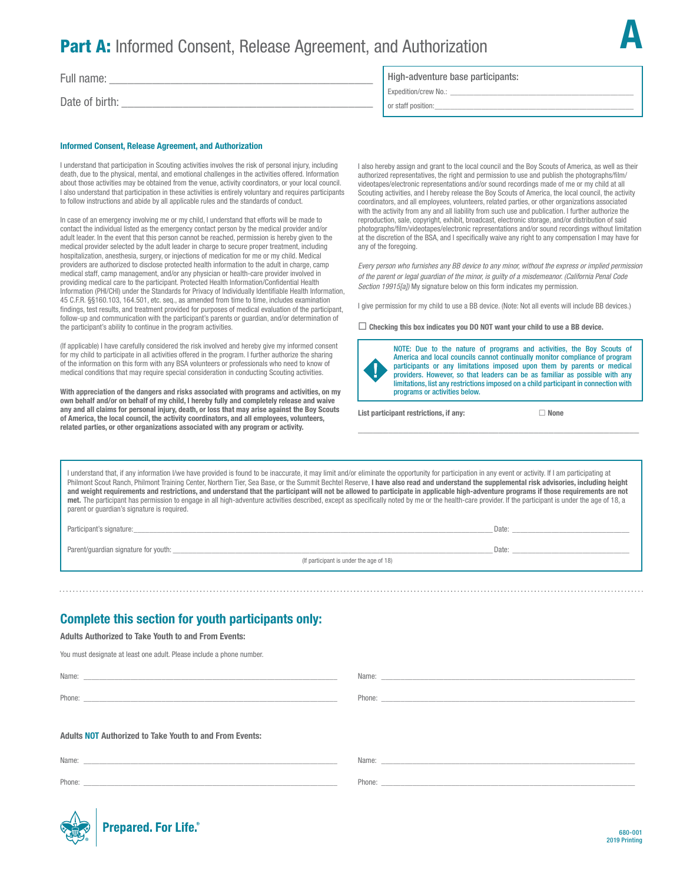# **Part A:** Informed Consent, Release Agreement, and Authorization

Full name:

Date of birth:

#### Informed Consent, Release Agreement, and Authorization

I understand that participation in Scouting activities involves the risk of personal injury, including death, due to the physical, mental, and emotional challenges in the activities offered. Information about those activities may be obtained from the venue, activity coordinators, or your local council. I also understand that participation in these activities is entirely voluntary and requires participants to follow instructions and abide by all applicable rules and the standards of conduct.

In case of an emergency involving me or my child, I understand that efforts will be made to contact the individual listed as the emergency contact person by the medical provider and/or adult leader. In the event that this person cannot be reached, permission is hereby given to the medical provider selected by the adult leader in charge to secure proper treatment, including hospitalization, anesthesia, surgery, or injections of medication for me or my child. Medical providers are authorized to disclose protected health information to the adult in charge, camp medical staff, camp management, and/or any physician or health-care provider involved in providing medical care to the participant. Protected Health Information/Confdential Health Information (PHI/CHI) under the Standards for Privacy of Individually Identifable Health Information, 45 C.F.R. §§160.103, 164.501, etc. seq., as amended from time to time, includes examination findings, test results, and treatment provided for purposes of medical evaluation of the participant, follow-up and communication with the participant's parents or guardian, and/or determination of the participant's ability to continue in the program activities.

(If applicable) I have carefully considered the risk involved and hereby give my informed consent for my child to participate in all activities offered in the program. I further authorize the sharing of the information on this form with any BSA volunteers or professionals who need to know of medical conditions that may require special consideration in conducting Scouting activities.

With appreciation of the dangers and risks associated with programs and activities, on my own behalf and/or on behalf of my child, I hereby fully and completely release and waive any and all claims for personal injury, death, or loss that may arise against the Boy Scouts of America, the local council, the activity coordinators, and all employees, volunteers, related parties, or other organizations associated with any program or activity.

#### High-adventure base participants:

Expedition/crew No.: \_

or staff position:

I also hereby assign and grant to the local council and the Boy Scouts of America, as well as their authorized representatives, the right and permission to use and publish the photographs/flm/ videotapes/electronic representations and/or sound recordings made of me or my child at all Scouting activities, and I hereby release the Boy Scouts of America, the local council, the activity coordinators, and all employees, volunteers, related parties, or other organizations associated with the activity from any and all liability from such use and publication. I further authorize the reproduction, sale, copyright, exhibit, broadcast, electronic storage, and/or distribution of said photographs/flm/videotapes/electronic representations and/or sound recordings without limitation at the discretion of the BSA, and I specifically waive any right to any compensation I may have for any of the foregoing.

*Every person who furnishes any BB device to any minor, without the express or implied permission of the parent or legal guardian of the minor, is guilty of a misdemeanor. (California Penal Code Section 19915[a])* My signature below on this form indicates my permission.

I give permission for my child to use a BB device. (Note: Not all events will include BB devices.)

 $\Box$  Checking this box indicates you DO NOT want your child to use a BB device.



NOTE: Due to the nature of programs and activities, the Boy Scouts of America and local councils cannot continually monitor compliance of program participants or any limitations imposed upon them by parents or medical providers. However, so that leaders can be as familiar as possible with any limitations, list any restrictions imposed on a child participant in connection with programs or activities below.

\_\_\_\_\_\_\_\_\_\_\_\_\_\_\_\_\_\_\_\_\_\_\_\_\_\_\_\_\_\_\_\_\_\_\_\_\_\_\_\_\_\_\_\_\_\_\_\_\_\_\_\_\_\_\_\_

List participant restrictions, if any:  $\Box$  None

A

I understand that, if any information I/we have provided is found to be inaccurate, it may limit and/or eliminate the opportunity for participation in any event or activity. If I am participating at Philmont Scout Ranch, Philmont Training Center, Northern Tier, Sea Base, or the Summit Bechtel Reserve, I have also read and understand the supplemental risk advisories, including height and weight requirements and restrictions, and understand that the participant will not be allowed to participate in applicable high-adventure programs if those requirements are not met. The participant has permission to engage in all high-adventure activities described, except as specifcally noted by me or the health-care provider. If the participant is under the age of 18, a parent or guardian's signature is required.

Participant's signature:\_\_\_\_\_\_\_\_\_\_\_\_\_\_\_\_\_\_\_\_\_\_\_\_\_\_\_\_\_\_\_\_\_\_\_\_\_\_\_\_\_\_\_\_\_\_\_\_\_\_\_\_\_\_\_\_\_\_\_\_\_\_\_\_\_\_\_\_\_\_\_\_\_\_\_\_\_\_\_\_\_\_\_\_\_\_\_\_\_\_\_\_ Date: \_\_\_\_\_\_\_\_\_\_\_\_\_\_\_\_\_\_\_\_\_\_\_\_\_\_\_\_\_\_

Parent/guardian signature for youth: \_\_\_\_\_\_\_\_\_\_\_\_\_\_\_\_\_\_\_\_\_\_\_\_\_\_\_\_\_\_\_\_\_\_\_\_\_\_\_\_\_\_\_\_\_\_\_\_\_\_\_\_\_\_\_\_\_\_\_\_\_\_\_\_\_\_\_\_\_\_\_\_\_\_\_\_\_\_\_\_\_\_ Date: \_\_\_\_\_\_\_\_\_\_\_\_\_\_\_\_\_\_\_\_\_\_\_\_\_\_\_\_\_\_

(If participant is under the age of 18)

## Complete this section for youth participants only:

Adults Authorized to Take Youth to and From Events:

You must designate at least one adult. Please include a phone number.

Adults NOT Authorized to Take Youth to and From Events: Name: \_\_\_\_\_\_\_\_\_\_\_\_\_\_\_\_\_\_\_\_\_\_\_\_\_\_\_\_\_\_\_\_\_\_\_\_\_\_\_\_\_\_\_\_\_\_\_\_\_\_\_\_\_\_\_\_\_\_\_\_\_\_\_\_\_ Phone: \_\_\_\_\_\_\_\_\_\_\_\_\_\_\_\_\_\_\_\_\_\_\_\_\_\_\_\_\_\_\_\_\_\_\_\_\_\_\_\_\_\_\_\_\_\_\_\_\_\_\_\_\_\_\_\_\_\_\_\_\_\_\_\_\_ Name: Phone: \_\_\_\_\_\_\_\_\_\_\_\_\_\_\_\_\_\_\_\_\_\_\_\_\_\_\_\_\_\_\_\_\_\_\_\_\_\_\_\_\_\_\_\_\_\_\_\_\_\_\_\_\_\_\_\_\_\_\_\_\_\_\_\_\_ Name: \_\_ Name: \_\_

Phone:

Phone: \_\_\_\_\_\_\_\_\_\_\_\_\_\_\_\_\_\_\_\_\_\_\_\_\_\_\_\_\_\_\_\_\_\_\_\_\_\_\_\_\_\_\_\_\_\_\_\_\_\_\_\_\_\_\_\_\_\_\_\_\_\_\_\_\_

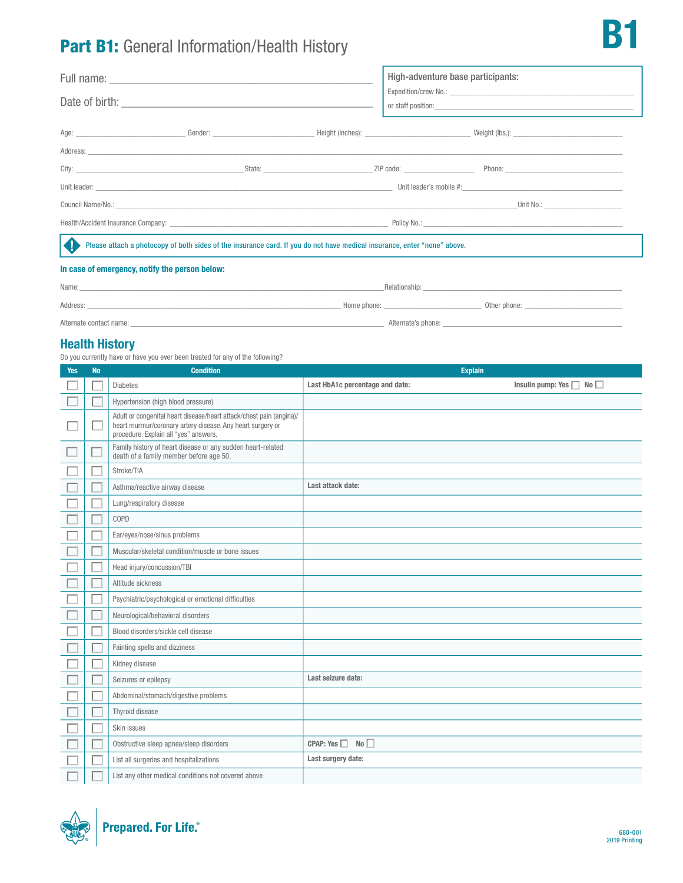# Part B1: General Information/Health History

|                                                                                                                                                                                                                                |  |  | High-adventure base participants: |  |  |
|--------------------------------------------------------------------------------------------------------------------------------------------------------------------------------------------------------------------------------|--|--|-----------------------------------|--|--|
|                                                                                                                                                                                                                                |  |  |                                   |  |  |
|                                                                                                                                                                                                                                |  |  |                                   |  |  |
|                                                                                                                                                                                                                                |  |  |                                   |  |  |
|                                                                                                                                                                                                                                |  |  |                                   |  |  |
|                                                                                                                                                                                                                                |  |  |                                   |  |  |
| Council Name/No.: The contract of the contract of the contract of the contract of the contract of the contract of the contract of the contract of the contract of the contract of the contract of the contract of the contract |  |  |                                   |  |  |
|                                                                                                                                                                                                                                |  |  |                                   |  |  |
| Please attach a photocopy of both sides of the insurance card. If you do not have medical insurance, enter "none" above.<br>KJ                                                                                                 |  |  |                                   |  |  |
| In ease of emergency notify the nerson below.                                                                                                                                                                                  |  |  |                                   |  |  |

#### In case of emergency, notify the person below:

| Name:                   | Relationship: |                    |              |
|-------------------------|---------------|--------------------|--------------|
| Address:                | Home phone:   |                    | Other phone: |
| Alternate contact name: |               | Alternate's phone: |              |

### Health History

Do you currently have or have you ever been treated for any of the following?

| <b>Yes</b> | <b>No</b> | <b>Condition</b>                                                                                                                                                           | <b>Explain</b>                  |                                    |  |
|------------|-----------|----------------------------------------------------------------------------------------------------------------------------------------------------------------------------|---------------------------------|------------------------------------|--|
|            |           | <b>Diabetes</b>                                                                                                                                                            | Last HbA1c percentage and date: | Insulin pump: Yes $\Box$ No $\Box$ |  |
|            |           | Hypertension (high blood pressure)                                                                                                                                         |                                 |                                    |  |
|            |           | Adult or congenital heart disease/heart attack/chest pain (angina)/<br>heart murmur/coronary artery disease. Any heart surgery or<br>procedure. Explain all "yes" answers. |                                 |                                    |  |
|            |           | Family history of heart disease or any sudden heart-related<br>death of a family member before age 50.                                                                     |                                 |                                    |  |
|            |           | Stroke/TIA                                                                                                                                                                 |                                 |                                    |  |
|            |           | Asthma/reactive airway disease                                                                                                                                             | Last attack date:               |                                    |  |
|            |           | Lung/respiratory disease                                                                                                                                                   |                                 |                                    |  |
|            |           | COPD                                                                                                                                                                       |                                 |                                    |  |
|            |           | Ear/eyes/nose/sinus problems                                                                                                                                               |                                 |                                    |  |
|            |           | Muscular/skeletal condition/muscle or bone issues                                                                                                                          |                                 |                                    |  |
|            |           | Head injury/concussion/TBI                                                                                                                                                 |                                 |                                    |  |
|            |           | Altitude sickness                                                                                                                                                          |                                 |                                    |  |
|            |           | Psychiatric/psychological or emotional difficulties                                                                                                                        |                                 |                                    |  |
|            |           | Neurological/behavioral disorders                                                                                                                                          |                                 |                                    |  |
|            |           | Blood disorders/sickle cell disease                                                                                                                                        |                                 |                                    |  |
|            |           | Fainting spells and dizziness                                                                                                                                              |                                 |                                    |  |
|            |           | Kidney disease                                                                                                                                                             |                                 |                                    |  |
|            |           | Seizures or epilepsy                                                                                                                                                       | Last seizure date:              |                                    |  |
|            |           | Abdominal/stomach/digestive problems                                                                                                                                       |                                 |                                    |  |
|            |           | Thyroid disease                                                                                                                                                            |                                 |                                    |  |
|            |           | Skin issues                                                                                                                                                                |                                 |                                    |  |
|            |           | Obstructive sleep apnea/sleep disorders                                                                                                                                    | CPAP: Yes<br>No                 |                                    |  |
|            |           | List all surgeries and hospitalizations                                                                                                                                    | Last surgery date:              |                                    |  |
|            |           | List any other medical conditions not covered above                                                                                                                        |                                 |                                    |  |



**P**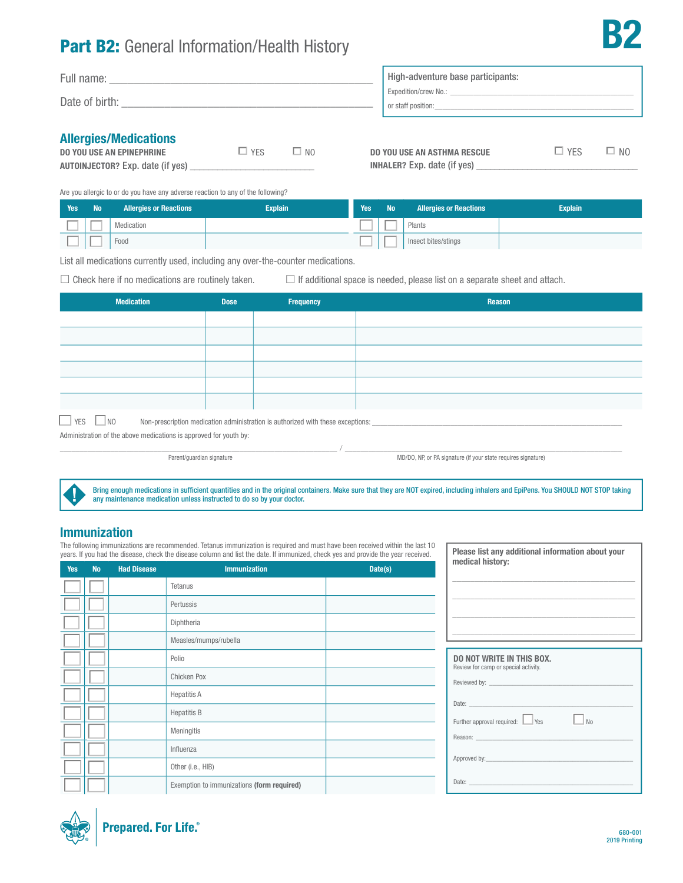# Part B2: General Information/Health History

| Full name:<br>Date of birth: | High-adventure base participants:<br>Expedition/crew No.:<br>or staff position: |  |
|------------------------------|---------------------------------------------------------------------------------|--|
| Allowsian (Madinational      |                                                                                 |  |

| <b>Allergies/Medications</b> |  |  |
|------------------------------|--|--|
|------------------------------|--|--|

| <b>DO YOU USE AN EPINEPHRINE</b>        | $\Box$ YFS | $\Box$ NO |
|-----------------------------------------|------------|-----------|
| <b>AUTOINJECTOR?</b> Exp. date (if yes) |            |           |

| DO YOU USE AN ASTHMA RESCUE        | $\Box$ YFS | $\Box$ No |
|------------------------------------|------------|-----------|
| <b>INHALER?</b> Exp. date (if yes) |            |           |

B2

Are you allergic to or do you have any adverse reaction to any of the following?

| Yes | <b>No</b> | <b>Allergies or Reactions</b> | <b>Explain</b> | Yes | <b>No</b> | <b>Allergies or Reactions</b> | <b>Explain</b> |
|-----|-----------|-------------------------------|----------------|-----|-----------|-------------------------------|----------------|
|     |           | Medication                    |                |     |           | Plants                        |                |
|     |           | Food                          |                |     |           | Insect bites/stings           |                |

List all medications currently used, including any over-the-counter medications.

 $\Box$  Check here if no medications are routinely taken.  $\Box$  If additional space is needed, please list on a separate sheet and attach.

| <b>Medication</b>                                                                                                       | <b>Dose</b> | Frequency | <b>Reason</b> |  |  |  |
|-------------------------------------------------------------------------------------------------------------------------|-------------|-----------|---------------|--|--|--|
|                                                                                                                         |             |           |               |  |  |  |
|                                                                                                                         |             |           |               |  |  |  |
|                                                                                                                         |             |           |               |  |  |  |
|                                                                                                                         |             |           |               |  |  |  |
|                                                                                                                         |             |           |               |  |  |  |
|                                                                                                                         |             |           |               |  |  |  |
| $\Box$ NO<br>YES<br>Non-prescription medication administration is authorized with these exceptions: ___________________ |             |           |               |  |  |  |
| Administration of the above medications is approved for youth by:                                                       |             |           |               |  |  |  |

, which is the contribution of the contribution of  $\mathcal{N}_{\rm{max}}$  ,  $\mathcal{N}_{\rm{max}}$  ,  $\mathcal{N}_{\rm{max}}$ 

Parent/guardian signature MD/DO, NP, or PA signature (if your state requires signature)

Please list any additional information about your

Bring enough medications in suffcient quantities and in the original containers. Make sure that they are NOT expired, including inhalers and EpiPens. You SHOULD NOT STOP taking any maintenance medication unless instructed to do so by your doctor.

### Immunization

The following immunizations are recommended. Tetanus immunization is required and must have been received within the last 10 years. If you had the disease, check the disease column and list the date. If immunized, check yes and provide the year received.

| Yes | <b>No</b> | <b>Had Disease</b> | <b>Immunization</b><br>$\mathcal{L}^{\text{max}}_{\text{max}}$ and $\mathcal{L}^{\text{max}}_{\text{max}}$ and $\mathcal{L}^{\text{max}}_{\text{max}}$ | Date(s) | medical history:                                                                                                     |
|-----|-----------|--------------------|--------------------------------------------------------------------------------------------------------------------------------------------------------|---------|----------------------------------------------------------------------------------------------------------------------|
|     |           |                    | Tetanus                                                                                                                                                |         |                                                                                                                      |
|     |           |                    | Pertussis                                                                                                                                              |         |                                                                                                                      |
|     |           |                    | Diphtheria                                                                                                                                             |         |                                                                                                                      |
|     |           |                    | Measles/mumps/rubella                                                                                                                                  |         | <u> 2000 - Andrea Barbara, amerikan basar dan berasal dalam pengaran basar dalam personal dan berasal dan berasa</u> |
|     |           |                    | Polio                                                                                                                                                  |         | <b>DO NOT WRITE IN THIS BOX.</b><br>Review for camp or special activity.                                             |
|     |           |                    | Chicken Pox                                                                                                                                            |         |                                                                                                                      |
|     |           |                    | <b>Hepatitis A</b>                                                                                                                                     |         |                                                                                                                      |
|     |           |                    | <b>Hepatitis B</b>                                                                                                                                     |         | Date: <u>www.communications.com</u><br>Further approval required: $\Box$ Yes<br>$\Box$ No                            |
|     |           |                    | Meningitis                                                                                                                                             |         |                                                                                                                      |
|     |           |                    | Influenza                                                                                                                                              |         |                                                                                                                      |
|     |           |                    | Other (i.e., HIB)                                                                                                                                      |         |                                                                                                                      |
|     |           |                    | Exemption to immunizations (form required)                                                                                                             |         |                                                                                                                      |